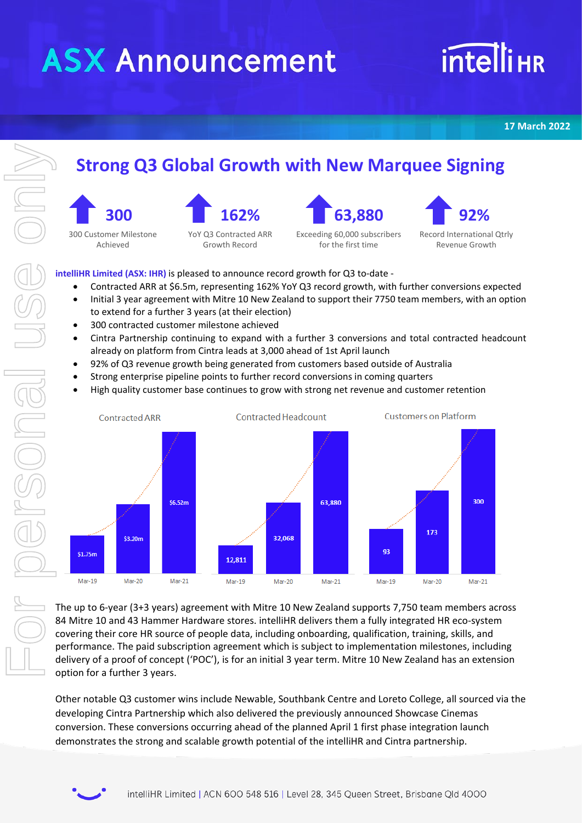## **ASX Announcement**

## **intelliHR**

**17 March 2022**

#### **Strong Q3 Global Growth with New Marquee Signing**





Exceeding 60,000 subscribers for the first time

 **92%** Record International Qtrly Revenue Growth

**intelliHR Limited (ASX: IHR)** is pleased to announce record growth for Q3 to-date -

YoY Q3 Contracted ARR Growth Record

- Contracted ARR at \$6.5m, representing 162% YoY Q3 record growth, with further conversions expected
- Initial 3 year agreement with Mitre 10 New Zealand to support their 7750 team members, with an option to extend for a further 3 years (at their election)
- 300 contracted customer milestone achieved

 **300** 300 Customer Milestone Achieved

- Cintra Partnership continuing to expand with a further 3 conversions and total contracted headcount already on platform from Cintra leads at 3,000 ahead of 1st April launch
- 92% of Q3 revenue growth being generated from customers based outside of Australia
- Strong enterprise pipeline points to further record conversions in coming quarters
- High quality customer base continues to grow with strong net revenue and customer retention



The up to 6-year (3+3 years) agreement with Mitre 10 New Zealand supports 7,750 team members across 84 Mitre 10 and 43 Hammer Hardware stores. intelliHR delivers them a fully integrated HR eco-system covering their core HR source of people data, including onboarding, qualification, training, skills, and performance. The paid subscription agreement which is subject to implementation milestones, including delivery of a proof of concept ('POC'), is for an initial 3 year term. Mitre 10 New Zealand has an extension option for a further 3 years.

Other notable Q3 customer wins include Newable, Southbank Centre and Loreto College, all sourced via the developing Cintra Partnership which also delivered the previously announced Showcase Cinemas conversion. These conversions occurring ahead of the planned April 1 first phase integration launch